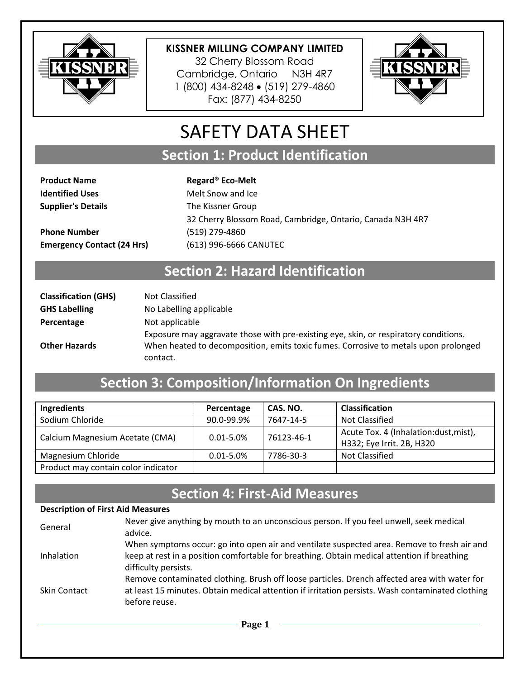

32 Cherry Blossom Road Cambridge, Ontario N3H 4R7 1 (800) 434-8248 (519) 279-4860 Fax: (877) 434-8250



# SAFETY DATA SHEET

**Section 1: Product Identification**

**Product Name Regard® Eco-Melt Identified Uses** Melt Snow and Ice **Supplier's Details** The Kissner Group 32 Cherry Blossom Road, Cambridge, Ontario, Canada N3H 4R7 **Phone Number** (519) 279-4860 **Emergency Contact (24 Hrs)** (613) 996-6666 CANUTEC

### **Section 2: Hazard Identification**

| <b>Classification (GHS)</b> | Not Classified                                                                       |
|-----------------------------|--------------------------------------------------------------------------------------|
| <b>GHS Labelling</b>        | No Labelling applicable                                                              |
| Percentage                  | Not applicable                                                                       |
|                             | Exposure may aggravate those with pre-existing eye, skin, or respiratory conditions. |
| <b>Other Hazards</b>        | When heated to decomposition, emits toxic fumes. Corrosive to metals upon prolonged  |
|                             | contact.                                                                             |

## **Section 3: Composition/Information On Ingredients**

| Ingredients                         | Percentage    | CAS. NO.   | <b>Classification</b>                                              |
|-------------------------------------|---------------|------------|--------------------------------------------------------------------|
| Sodium Chloride                     | 90.0-99.9%    | 7647-14-5  | <b>Not Classified</b>                                              |
| Calcium Magnesium Acetate (CMA)     | $0.01 - 5.0%$ | 76123-46-1 | Acute Tox. 4 (Inhalation:dust, mist),<br>H332; Eye Irrit. 2B, H320 |
| Magnesium Chloride                  | $0.01 - 5.0%$ | 7786-30-3  | Not Classified                                                     |
| Product may contain color indicator |               |            |                                                                    |

#### **Section 4: First-Aid Measures**

#### **Description of First Aid Measures**

| General             | Never give anything by mouth to an unconscious person. If you feel unwell, seek medical<br>advice.                                                                                                                       |
|---------------------|--------------------------------------------------------------------------------------------------------------------------------------------------------------------------------------------------------------------------|
| Inhalation          | When symptoms occur: go into open air and ventilate suspected area. Remove to fresh air and<br>keep at rest in a position comfortable for breathing. Obtain medical attention if breathing                               |
| <b>Skin Contact</b> | difficulty persists.<br>Remove contaminated clothing. Brush off loose particles. Drench affected area with water for<br>at least 15 minutes. Obtain medical attention if irritation persists. Wash contaminated clothing |
|                     | before reuse.<br>$P_{222}$ 1                                                                                                                                                                                             |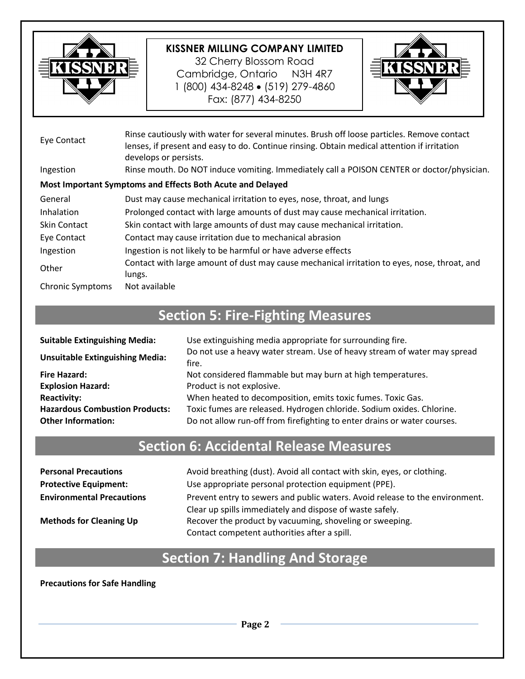

32 Cherry Blossom Road Cambridge, Ontario N3H 4R7 1 (800) 434-8248 (519) 279-4860 Fax: (877) 434-8250



| Eye Contact             | Rinse cautiously with water for several minutes. Brush off loose particles. Remove contact<br>lenses, if present and easy to do. Continue rinsing. Obtain medical attention if irritation<br>develops or persists. |
|-------------------------|--------------------------------------------------------------------------------------------------------------------------------------------------------------------------------------------------------------------|
| Ingestion               | Rinse mouth. Do NOT induce vomiting. Immediately call a POISON CENTER or doctor/physician.                                                                                                                         |
|                         | Most Important Symptoms and Effects Both Acute and Delayed                                                                                                                                                         |
| General                 | Dust may cause mechanical irritation to eyes, nose, throat, and lungs                                                                                                                                              |
| Inhalation              | Prolonged contact with large amounts of dust may cause mechanical irritation.                                                                                                                                      |
| <b>Skin Contact</b>     | Skin contact with large amounts of dust may cause mechanical irritation.                                                                                                                                           |
| Eye Contact             | Contact may cause irritation due to mechanical abrasion                                                                                                                                                            |
| Ingestion               | Ingestion is not likely to be harmful or have adverse effects                                                                                                                                                      |
| Other                   | Contact with large amount of dust may cause mechanical irritation to eyes, nose, throat, and<br>lungs.                                                                                                             |
| <b>Chronic Symptoms</b> | Not available                                                                                                                                                                                                      |

# **Section 5: Fire-Fighting Measures**

| <b>Suitable Extinguishing Media:</b>   | Use extinguishing media appropriate for surrounding fire.                         |
|----------------------------------------|-----------------------------------------------------------------------------------|
| <b>Unsuitable Extinguishing Media:</b> | Do not use a heavy water stream. Use of heavy stream of water may spread<br>fire. |
| <b>Fire Hazard:</b>                    | Not considered flammable but may burn at high temperatures.                       |
| <b>Explosion Hazard:</b>               | Product is not explosive.                                                         |
| <b>Reactivity:</b>                     | When heated to decomposition, emits toxic fumes. Toxic Gas.                       |
| <b>Hazardous Combustion Products:</b>  | Toxic fumes are released. Hydrogen chloride. Sodium oxides. Chlorine.             |
| <b>Other Information:</b>              | Do not allow run-off from firefighting to enter drains or water courses.          |

## **Section 6: Accidental Release Measures**

| <b>Personal Precautions</b>      | Avoid breathing (dust). Avoid all contact with skin, eyes, or clothing.      |
|----------------------------------|------------------------------------------------------------------------------|
| <b>Protective Equipment:</b>     | Use appropriate personal protection equipment (PPE).                         |
| <b>Environmental Precautions</b> | Prevent entry to sewers and public waters. Avoid release to the environment. |
|                                  | Clear up spills immediately and dispose of waste safely.                     |
| <b>Methods for Cleaning Up</b>   | Recover the product by vacuuming, shoveling or sweeping.                     |
|                                  | Contact competent authorities after a spill.                                 |

## **Section 7: Handling And Storage**

**Precautions for Safe Handling**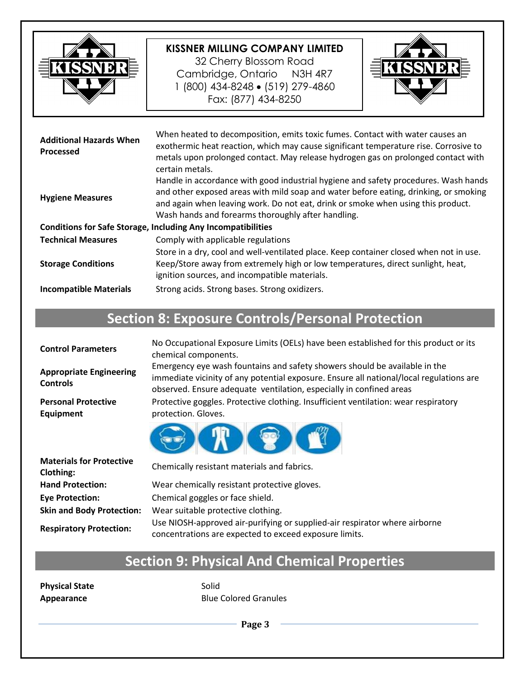

32 Cherry Blossom Road Cambridge, Ontario N3H 4R7 1 (800) 434-8248 (519) 279-4860 Fax: (877) 434-8250



| <b>Additional Hazards When</b><br><b>Processed</b>                  | When heated to decomposition, emits toxic fumes. Contact with water causes an<br>exothermic heat reaction, which may cause significant temperature rise. Corrosive to<br>metals upon prolonged contact. May release hydrogen gas on prolonged contact with<br>certain metals.                                         |  |
|---------------------------------------------------------------------|-----------------------------------------------------------------------------------------------------------------------------------------------------------------------------------------------------------------------------------------------------------------------------------------------------------------------|--|
| <b>Hygiene Measures</b>                                             | Handle in accordance with good industrial hygiene and safety procedures. Wash hands<br>and other exposed areas with mild soap and water before eating, drinking, or smoking<br>and again when leaving work. Do not eat, drink or smoke when using this product.<br>Wash hands and forearms thoroughly after handling. |  |
| <b>Conditions for Safe Storage, Including Any Incompatibilities</b> |                                                                                                                                                                                                                                                                                                                       |  |
| <b>Technical Measures</b>                                           | Comply with applicable regulations                                                                                                                                                                                                                                                                                    |  |
| <b>Storage Conditions</b>                                           | Store in a dry, cool and well-ventilated place. Keep container closed when not in use.<br>Keep/Store away from extremely high or low temperatures, direct sunlight, heat,<br>ignition sources, and incompatible materials.                                                                                            |  |
| <b>Incompatible Materials</b>                                       | Strong acids. Strong bases. Strong oxidizers.                                                                                                                                                                                                                                                                         |  |

# **Section 8: Exposure Controls/Personal Protection**

| <b>Control Parameters</b>                         | No Occupational Exposure Limits (OELs) have been established for this product or its<br>chemical components.                                                                                                                                 |
|---------------------------------------------------|----------------------------------------------------------------------------------------------------------------------------------------------------------------------------------------------------------------------------------------------|
| <b>Appropriate Engineering</b><br><b>Controls</b> | Emergency eye wash fountains and safety showers should be available in the<br>immediate vicinity of any potential exposure. Ensure all national/local regulations are<br>observed. Ensure adequate ventilation, especially in confined areas |
| <b>Personal Protective</b><br><b>Equipment</b>    | Protective goggles. Protective clothing. Insufficient ventilation: wear respiratory<br>protection. Gloves.                                                                                                                                   |
|                                                   | i tog                                                                                                                                                                                                                                        |
| <b>Materials for Protective</b><br>Clothing:      | Chemically resistant materials and fabrics.                                                                                                                                                                                                  |
| <b>Hand Protection:</b>                           | Wear chemically resistant protective gloves.                                                                                                                                                                                                 |
| <b>Eye Protection:</b>                            | Chemical goggles or face shield.                                                                                                                                                                                                             |
| <b>Skin and Body Protection:</b>                  | Wear suitable protective clothing.                                                                                                                                                                                                           |
| <b>Respiratory Protection:</b>                    | Use NIOSH-approved air-purifying or supplied-air respirator where airborne<br>concentrations are expected to exceed exposure limits.                                                                                                         |

# **Section 9: Physical And Chemical Properties**

**Physical State** Solid

**Appearance Blue Colored Granules**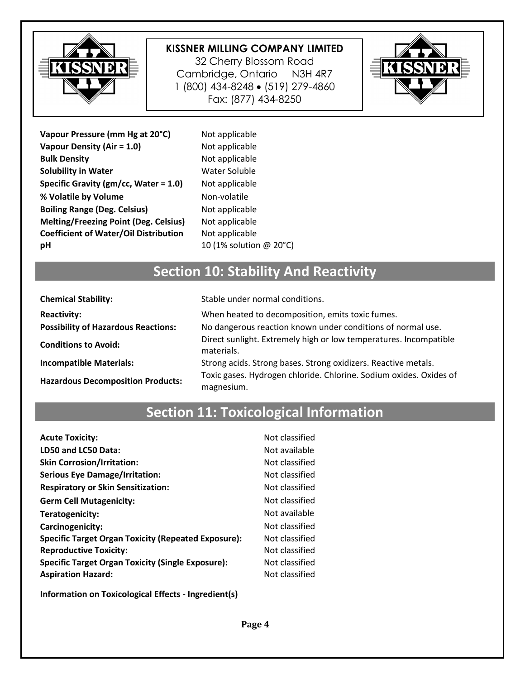

32 Cherry Blossom Road Cambridge, Ontario N3H 4R7 1 (800) 434-8248 (519) 279-4860 Fax: (877) 434-8250



| Vapour Pressure (mm Hg at 20°C)              |
|----------------------------------------------|
| Vapour Density (Air = 1.0)                   |
| <b>Bulk Density</b>                          |
| <b>Solubility in Water</b>                   |
| Specific Gravity ( $gm/cc$ , Water = 1.0)    |
| % Volatile by Volume                         |
| <b>Boiling Range (Deg. Celsius)</b>          |
| <b>Melting/Freezing Point (Deg. Celsius)</b> |
| <b>Coefficient of Water/Oil Distribution</b> |
| рH                                           |

**Not applicable Not applicable Not applicable Water Soluble Not applicable Non-volatile Not applicable Not applicable Not applicable pH** 10 (1% solution @ 20°C)

# **Section 10: Stability And Reactivity**

| <b>Chemical Stability:</b>                 | Stable under normal conditions.                                                  |
|--------------------------------------------|----------------------------------------------------------------------------------|
| <b>Reactivity:</b>                         | When heated to decomposition, emits toxic fumes.                                 |
| <b>Possibility of Hazardous Reactions:</b> | No dangerous reaction known under conditions of normal use.                      |
| <b>Conditions to Avoid:</b>                | Direct sunlight. Extremely high or low temperatures. Incompatible<br>materials.  |
| <b>Incompatible Materials:</b>             | Strong acids. Strong bases. Strong oxidizers. Reactive metals.                   |
| <b>Hazardous Decomposition Products:</b>   | Toxic gases. Hydrogen chloride. Chlorine. Sodium oxides. Oxides of<br>magnesium. |

### **Section 11: Toxicological Information**

| <b>Acute Toxicity:</b>                                     | Not classified |
|------------------------------------------------------------|----------------|
| LD50 and LC50 Data:                                        | Not available  |
| <b>Skin Corrosion/Irritation:</b>                          | Not classified |
| <b>Serious Eye Damage/Irritation:</b>                      | Not classified |
| <b>Respiratory or Skin Sensitization:</b>                  | Not classified |
| <b>Germ Cell Mutagenicity:</b>                             | Not classified |
| Teratogenicity:                                            | Not available  |
| Carcinogenicity:                                           | Not classified |
| <b>Specific Target Organ Toxicity (Repeated Exposure):</b> | Not classified |
| <b>Reproductive Toxicity:</b>                              | Not classified |
| <b>Specific Target Organ Toxicity (Single Exposure):</b>   | Not classified |
| <b>Aspiration Hazard:</b>                                  | Not classified |

**Information on Toxicological Effects - Ingredient(s)**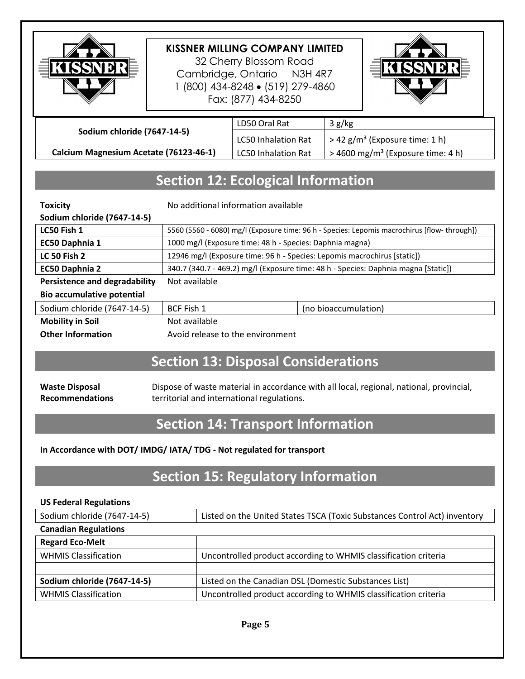

32 Cherry Blossom Road Cambridge, Ontario N3H 4R7 1 (800) 434-8248 (519) 279-4860 Fax: (877) 434-8250



|                                        | LD50 Oral Rat              | 3 g/kg                                          |
|----------------------------------------|----------------------------|-------------------------------------------------|
| Sodium chloride (7647-14-5)            | LC50 Inhalation Rat        | $>$ 42 g/m <sup>3</sup> (Exposure time: 1 h)    |
| Calcium Magnesium Acetate (76123-46-1) | <b>LC50 Inhalation Rat</b> | $>$ 4600 mg/m <sup>3</sup> (Exposure time: 4 h) |

### **Section 12: Ecological Information**

| <b>Toxicity</b>                      | No additional information available                                                         |                      |  |
|--------------------------------------|---------------------------------------------------------------------------------------------|----------------------|--|
| Sodium chloride (7647-14-5)          |                                                                                             |                      |  |
| LC50 Fish 1                          | 5560 (5560 - 6080) mg/l (Exposure time: 96 h - Species: Lepomis macrochirus [flow-through]) |                      |  |
| EC50 Daphnia 1                       | 1000 mg/l (Exposure time: 48 h - Species: Daphnia magna)                                    |                      |  |
| <b>LC 50 Fish 2</b>                  | 12946 mg/l (Exposure time: 96 h - Species: Lepomis macrochirus [static])                    |                      |  |
| EC50 Daphnia 2                       | 340.7 (340.7 - 469.2) mg/l (Exposure time: 48 h - Species: Daphnia magna [Static])          |                      |  |
| <b>Persistence and degradability</b> | Not available                                                                               |                      |  |
| <b>Bio accumulative potential</b>    |                                                                                             |                      |  |
| Sodium chloride (7647-14-5)          | BCF Fish 1                                                                                  | (no bioaccumulation) |  |
| <b>Mobility in Soil</b>              | Not available                                                                               |                      |  |
| <b>Other Information</b>             | Avoid release to the environment                                                            |                      |  |

### **Section 13: Disposal Considerations**

**Waste Disposal Recommendations** Dispose of waste material in accordance with all local, regional, national, provincial, territorial and international regulations.

#### **Section 14: Transport Information**

#### **In Accordance with DOT/ IMDG/ IATA/ TDG - Not regulated for transport**

### **Section 15: Regulatory Information**

#### **US Federal Regulations**

| Sodium chloride (7647-14-5) | Listed on the United States TSCA (Toxic Substances Control Act) inventory |  |
|-----------------------------|---------------------------------------------------------------------------|--|
| <b>Canadian Regulations</b> |                                                                           |  |
| <b>Regard Eco-Melt</b>      |                                                                           |  |
| <b>WHMIS Classification</b> | Uncontrolled product according to WHMIS classification criteria           |  |
|                             |                                                                           |  |
| Sodium chloride (7647-14-5) | Listed on the Canadian DSL (Domestic Substances List)                     |  |
| <b>WHMIS Classification</b> | Uncontrolled product according to WHMIS classification criteria           |  |